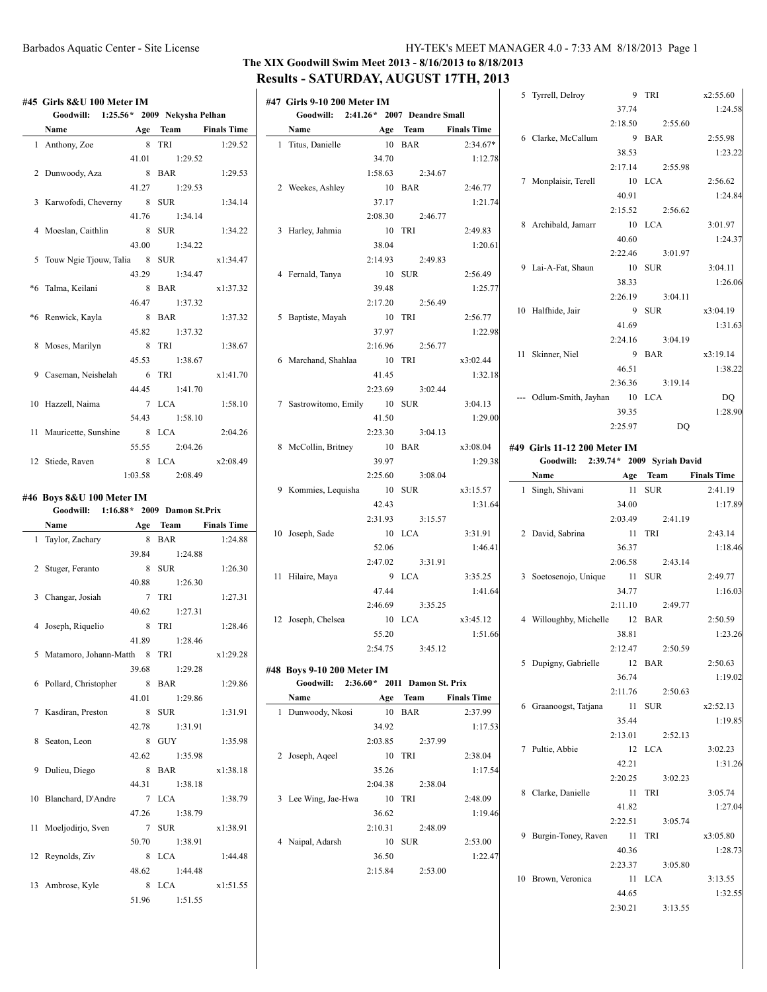# **The XIX Goodwill Swim Meet 2013 - 8/16/2013 to 8/18/2013 Results - SATURDAY, AUGUST 17TH, 2013**

| #45 Girls 8&U 100 Meter IM             |         |          |                    | #47 Girls 9-10 200 Meter IM            |         |         |                    | 5 Tyrrell, Delroy                     |         | 9 IRI    | X2:55.60           |
|----------------------------------------|---------|----------|--------------------|----------------------------------------|---------|---------|--------------------|---------------------------------------|---------|----------|--------------------|
| Goodwill: 1:25.56* 2009 Nekysha Pelhan |         |          |                    | Goodwill: 2:41.26* 2007 Deandre Small  |         |         |                    |                                       | 37.74   |          | 1:24.5             |
| Name                                   |         | Age Team | <b>Finals Time</b> | Name                                   | Age     | Team    | <b>Finals Time</b> |                                       | 2:18.50 | 2:55.60  |                    |
| 1 Anthony, Zoe                         |         | 8 TRI    | 1:29.52            | 1 Titus, Danielle                      |         | 10 BAR  | $2:34.67*$         | 6 Clarke, McCallum                    |         | 9 BAR    | 2:55.98            |
|                                        | 41.01   | 1:29.52  |                    |                                        | 34.70   |         | 1:12.78            |                                       | 38.53   |          | 1:23.2             |
| 2 Dunwoody, Aza                        |         | 8 BAR    | 1:29.53            |                                        | 1:58.63 | 2:34.67 |                    |                                       | 2:17.14 | 2:55.98  |                    |
|                                        | 41.27   | 1:29.53  |                    | 2 Weekes, Ashley                       |         | 10 BAR  | 2:46.77            | 7 Monplaisir, Terell                  |         | 10 LCA   | 2:56.62            |
| 3 Karwofodi, Cheverny                  |         | 8 SUR    | 1:34.14            |                                        | 37.17   |         | 1:21.74            |                                       | 40.91   |          | 1:24.8             |
|                                        | 41.76   | 1:34.14  |                    |                                        | 2:08.30 | 2:46.77 |                    |                                       | 2:15.52 | 2:56.62  |                    |
| 4 Moeslan, Caithlin                    |         | 8 SUR    | 1:34.22            | 3 Harley, Jahmia                       |         | 10 TRI  | 2:49.83            | 8 Archibald, Jamarr                   |         | 10 LCA   | 3:01.97            |
|                                        | 43.00   | 1:34.22  |                    |                                        | 38.04   |         | 1:20.61            |                                       | 40.60   |          | 1:24.3             |
|                                        |         | 8 SUR    |                    |                                        |         |         |                    |                                       | 2:22.46 | 3:01.97  |                    |
| 5 Touw Ngie Tjouw, Talia               |         |          | x1:34.47           |                                        | 2:14.93 | 2:49.83 |                    | 9 Lai-A-Fat, Shaun                    |         | 10 SUR   | 3:04.11            |
|                                        | 43.29   | 1:34.47  |                    | 4 Fernald, Tanya                       |         | 10 SUR  | 2:56.49            |                                       | 38.33   |          | 1:26.0             |
| *6 Talma, Keilani                      |         | 8 BAR    | x1:37.32           |                                        | 39.48   |         | 1:25.77            |                                       | 2:26.19 | 3:04.11  |                    |
|                                        | 46.47   | 1:37.32  |                    |                                        | 2:17.20 | 2:56.49 |                    | 10 Halfhide, Jair                     |         | 9 SUR    | x3:04.19           |
| *6 Renwick, Kayla                      |         | 8 BAR    | 1:37.32            | 5 Baptiste, Mayah                      |         | 10 TRI  | 2:56.77            |                                       | 41.69   |          | 1:31.6             |
|                                        | 45.82   | 1:37.32  |                    |                                        | 37.97   |         | 1:22.98            |                                       | 2:24.16 | 3:04.19  |                    |
| 8 Moses, Marilyn                       |         | 8 TRI    | 1:38.67            |                                        | 2:16.96 | 2:56.77 |                    |                                       |         |          |                    |
|                                        | 45.53   | 1:38.67  |                    | 6 Marchand, Shahlaa                    |         | 10 TRI  | x3:02.44           | 11 Skinner, Niel                      |         | 9 BAR    | x3:19.14           |
| 9 Caseman, Neishelah                   |         | 6 TRI    | x1:41.70           |                                        | 41.45   |         | 1:32.18            |                                       | 46.51   |          | 1:38.2             |
|                                        | 44.45   | 1:41.70  |                    |                                        | 2:23.69 | 3:02.44 |                    |                                       | 2:36.36 | 3:19.14  |                    |
| 10 Hazzell, Naima                      |         | 7 LCA    | 1:58.10            | 7 Sastrowitomo, Emily                  |         | 10 SUR  | 3:04.13            | --- Odlum-Smith, Jayhan               |         | 10 LCA   | <b>DQ</b>          |
|                                        | 54.43   | 1:58.10  |                    |                                        | 41.50   |         | 1:29.00            |                                       | 39.35   |          | 1:28.9             |
| 11 Mauricette, Sunshine                |         | 8 LCA    | 2:04.26            |                                        | 2:23.30 | 3:04.13 |                    |                                       | 2:25.97 | DQ       |                    |
|                                        |         |          |                    |                                        |         |         |                    |                                       |         |          |                    |
|                                        | 55.55   | 2:04.26  |                    | 8 McCollin, Britney                    |         | 10 BAR  | x3:08.04           | #49 Girls 11-12 200 Meter IM          |         |          |                    |
| 12 Stiede, Raven                       |         | 8 LCA    | x2:08.49           |                                        | 39.97   |         | 1:29.38            | Goodwill: 2:39.74 * 2009 Syriah David |         |          |                    |
|                                        | 1:03.58 | 2:08.49  |                    |                                        | 2:25.60 | 3:08.04 |                    | Name                                  |         | Age Team | <b>Finals Time</b> |
| #46 Boys 8&U 100 Meter IM              |         |          |                    | 9 Kommies, Lequisha                    |         | 10 SUR  | x3:15.57           | 1 Singh, Shivani                      |         | 11 SUR   | 2:41.19            |
| Goodwill: 1:16.88* 2009 Damon St.Prix  |         |          |                    |                                        | 42.43   |         | 1:31.64            |                                       | 34.00   |          | 1:17.8             |
| Name                                   | Age     | Team     | <b>Finals Time</b> |                                        | 2:31.93 | 3:15.57 |                    |                                       | 2:03.49 | 2:41.19  |                    |
| 1 Taylor, Zachary                      |         | 8 BAR    | 1:24.88            | 10 Joseph, Sade                        |         | 10 LCA  | 3:31.91            | 2 David, Sabrina                      |         | 11 TRI   | 2:43.14            |
|                                        | 39.84   | 1:24.88  |                    |                                        | 52.06   |         | 1:46.41            |                                       | 36.37   |          | 1:18.4             |
|                                        |         |          |                    |                                        | 2:47.02 | 3:31.91 |                    |                                       | 2:06.58 | 2:43.14  |                    |
| 2 Stuger, Feranto                      |         | 8 SUR    | 1:26.30            | 11 Hilaire, Maya                       |         | 9 LCA   | 3:35.25            | 3 Soetosenojo, Unique                 |         | 11 SUR   | 2:49.77            |
|                                        | 40.88   | 1:26.30  |                    |                                        |         |         | 1:41.64            |                                       | 34.77   |          |                    |
| 3 Changar, Josiah                      |         |          |                    |                                        | 47.44   |         |                    |                                       |         |          |                    |
|                                        |         | 7 TRI    | 1:27.31            |                                        |         |         |                    |                                       |         |          | 1:16.0             |
|                                        | 40.62   | 1:27.31  |                    |                                        | 2:46.69 | 3:35.25 |                    |                                       | 2:11.10 | 2:49.77  |                    |
| 4 Joseph, Riquelio                     |         | 8 TRI    | 1:28.46            | 12 Joseph, Chelsea                     |         | 10 LCA  | x3:45.12           | 4 Willoughby, Michelle                |         | 12 BAR   | 2:50.59            |
|                                        | 41.89   | 1:28.46  |                    |                                        | 55.20   |         | 1:51.66            |                                       | 38.81   |          | 1:23.2             |
| 5 Matamoro, Johann-Matth 8 TRI         |         |          | x1:29.28           |                                        | 2:54.75 | 3:45.12 |                    |                                       | 2:12.47 | 2:50.59  |                    |
|                                        | 39.68   | 1:29.28  |                    | #48 Boys 9-10 200 Meter IM             |         |         |                    | 5 Dupigny, Gabrielle                  |         | 12 BAR   | 2:50.63            |
| 6 Pollard, Christopher                 |         | 8 BAR    | 1:29.86            | Goodwill: 2:36.60* 2011 Damon St. Prix |         |         |                    |                                       | 36.74   |          | 1:19.0             |
|                                        | 41.01   |          |                    | Name                                   | Age     | Team    | <b>Finals Time</b> |                                       | 2:11.76 | 2:50.63  |                    |
|                                        |         | 1:29.86  |                    |                                        |         |         |                    | 6 Graanoogst, Tatjana                 |         | 11 SUR   | x2:52.13           |
| 7 Kasdiran, Preston                    |         | 8 SUR    | 1:31.91            | 1 Dunwoody, Nkosi                      |         | 10 BAR  | 2:37.99            |                                       | 35.44   |          | 1:19.8             |
|                                        | 42.78   | 1:31.91  |                    |                                        | 34.92   |         | 1:17.53            |                                       | 2:13.01 | 2:52.13  |                    |
| 8 Seaton, Leon                         |         | 8 GUY    | 1:35.98            |                                        | 2:03.85 | 2:37.99 |                    | 7 Pultie, Abbie                       |         | 12 LCA   | 3:02.23            |
|                                        | 42.62   | 1:35.98  |                    | 2 Joseph, Aqeel                        |         | 10 TRI  | 2:38.04            |                                       |         |          |                    |
| 9 Dulieu, Diego                        |         | 8 BAR    | x1:38.18           |                                        | 35.26   |         | 1:17.54            |                                       | 42.21   |          | 1:31.2             |
|                                        | 44.31   | 1:38.18  |                    |                                        | 2:04.38 | 2:38.04 |                    |                                       | 2:20.25 | 3:02.23  |                    |
| 10 Blanchard, D'Andre                  |         | 7 LCA    | 1:38.79            | 3 Lee Wing, Jae-Hwa                    |         | 10 TRI  | 2:48.09            | 8 Clarke, Danielle                    |         | 11 TRI   | 3:05.74            |
|                                        | 47.26   | 1:38.79  |                    |                                        | 36.62   |         | 1:19.46            |                                       | 41.82   |          | 1:27.0             |
| 11 Moeljodirjo, Sven                   |         | 7 SUR    | x1:38.91           |                                        | 2:10.31 | 2:48.09 |                    |                                       | 2:22.51 | 3:05.74  |                    |
|                                        | 50.70   | 1:38.91  |                    | 4 Naipal, Adarsh                       |         | 10 SUR  | 2:53.00            | 9 Burgin-Toney, Raven                 |         | 11 TRI   | x3:05.80           |
| 12 Reynolds, Ziv                       |         | 8 LCA    | 1:44.48            |                                        | 36.50   |         | 1:22.47            |                                       | 40.36   |          | 1:28.7             |
|                                        |         |          |                    |                                        |         |         |                    |                                       | 2:23.37 | 3:05.80  |                    |
|                                        | 48.62   | 1:44.48  |                    |                                        | 2:15.84 | 2:53.00 |                    | 10 Brown, Veronica                    |         | 11 LCA   | 3:13.55            |
| 13 Ambrose, Kyle                       |         | 8 LCA    | x1:51.55           |                                        |         |         |                    |                                       | 44.65   |          | 1:32.5             |
|                                        | 51.96   | 1:51.55  |                    |                                        |         |         |                    |                                       | 2:30.21 | 3:13.55  |                    |

| 5 Tyrrell, Delroy                     |                  | 9 TRI               | x2:55.60                                            |
|---------------------------------------|------------------|---------------------|-----------------------------------------------------|
|                                       | 37.74            |                     | 1:24.58                                             |
|                                       | 2:18.50          | 2:55.60             |                                                     |
| 6 Clarke, McCallum                    |                  | 9 BAR               | 2:55.98                                             |
|                                       | 38.53            |                     | 1:23.22                                             |
|                                       |                  | 2:17.14 2:55.98     |                                                     |
| 7 Monplaisir, Terell                  |                  | 10 LCA              | 2:56.62                                             |
|                                       | 40.91            |                     | 1:24.84                                             |
|                                       |                  | 2:15.52 2:56.62     |                                                     |
| 8 Archibald, Jamarr                   |                  | 10 LCA              | 3:01.97                                             |
|                                       | 40.60            |                     | 1:24.37                                             |
|                                       |                  | 2:22.46 3:01.97     |                                                     |
| 9 Lai-A-Fat, Shaun                    |                  | 10 SUR              | 3:04.11                                             |
|                                       | 38.33            |                     | 1:26.06                                             |
|                                       | 2:26.19          | 3:04.11             |                                                     |
| 10 Halfhide, Jair                     |                  | 9 SUR               | x3:04.19                                            |
|                                       | 41.69            |                     | 1:31.63                                             |
|                                       |                  | $2:24.16$ $3:04.19$ |                                                     |
| 11 Skinner, Niel                      |                  | 9 BAR               | x3:19.14                                            |
|                                       | 46.51            |                     | 1:38.22                                             |
|                                       |                  | 2:36.36 3:19.14     |                                                     |
| --- Odlum-Smith, Jayhan 10 LCA        |                  |                     | DQ                                                  |
|                                       | 39.35            |                     | 1:28.90                                             |
|                                       |                  | 2:25.97 DQ          |                                                     |
|                                       |                  |                     |                                                     |
| #49 Girls 11-12 200 Meter IM          |                  |                     |                                                     |
|                                       |                  |                     |                                                     |
| Goodwill: 2:39.74 * 2009 Syriah David |                  |                     |                                                     |
| Name Age Team Finals Time             |                  |                     |                                                     |
| 1 Singh, Shivani                      | 11 SUR           |                     | 2:41.19                                             |
|                                       | 34.00            |                     |                                                     |
|                                       |                  | 2:03.49 2:41.19     |                                                     |
| 2 David, Sabrina                      |                  | 11 TRI              | 2:43.14                                             |
|                                       | 36.37            |                     |                                                     |
|                                       |                  | 2:06.58 2:43.14     |                                                     |
| 3 Soetosenojo, Unique 11 SUR          |                  |                     | 2:49.77                                             |
|                                       | 34.77            |                     |                                                     |
|                                       |                  | 2:11.10 2:49.77     |                                                     |
| 4 Willoughby, Michelle 12 BAR         |                  |                     | 2:50.59                                             |
|                                       | 38.81            |                     |                                                     |
|                                       |                  | 2:12.47 2:50.59     |                                                     |
| 5 Dupigny, Gabrielle                  |                  | 12 BAR              | 2:50.63                                             |
|                                       | 36.74            |                     | 1:19.02                                             |
|                                       |                  | 2:11.76 2:50.63     |                                                     |
| 6 Graanoogst, Tatjana                 |                  | 11 SUR              | x2:52.13                                            |
|                                       | 35.44<br>2:13.01 | 2:52.13             | 1:19.85                                             |
|                                       |                  | 12 LCA              | 3:02.23                                             |
| 7 Pultie, Abbie                       | 42.21            |                     |                                                     |
|                                       |                  |                     |                                                     |
|                                       | 2:20.25          | 3:02.23             | 1:17.89<br>1:18.46<br>1:16.03<br>1:23.26<br>1:31.26 |
| 8 Clarke, Danielle                    | 11               | TRI                 | 3:05.74                                             |
|                                       | 41.82<br>2:22.51 | 3:05.74             | 1:27.04                                             |
| 9 Burgin-Toney, Raven                 | 11               | TRI                 | x3:05.80                                            |

44.65 1:32.55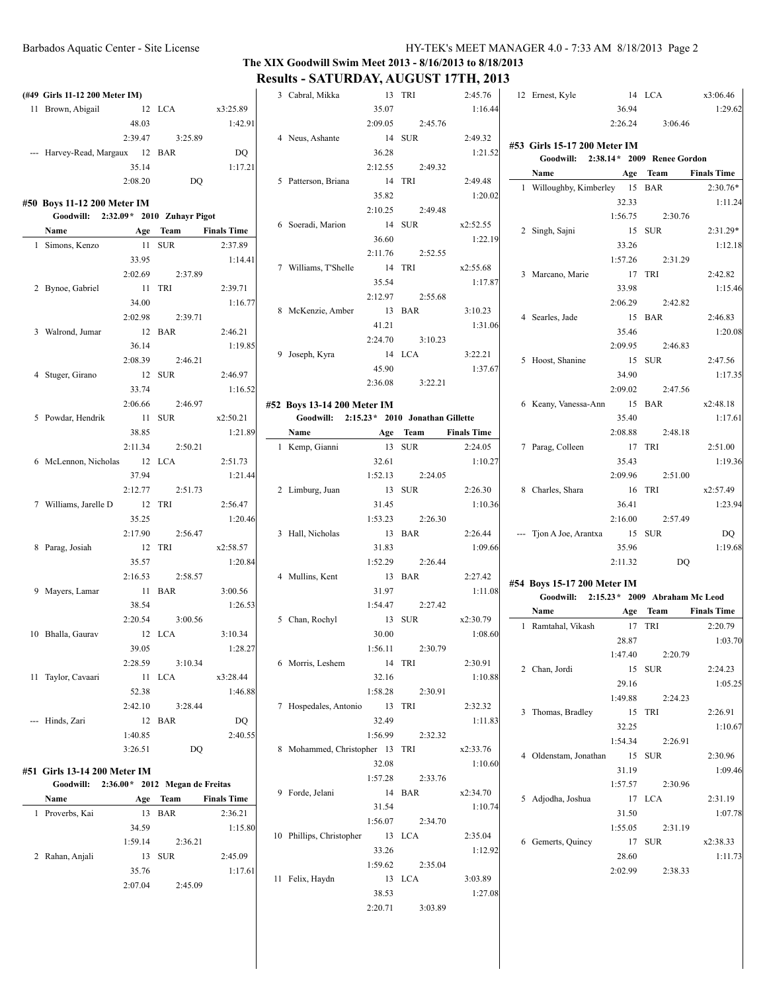## **The XIX Goodwill Swim Meet 2013 - 8/16/2013 to 8/18/2013 Results - SATURDAY, AUGUST 17TH, 2013**

| (#49 Girls 11-12 200 Meter IM)           |         |          |                    | 3 Cabral, Mikka                            |         | 13 TRI   | 2:45.76            | 12 Ernest, Kyle                |         | 14 LCA                                   | x3:06.46           |
|------------------------------------------|---------|----------|--------------------|--------------------------------------------|---------|----------|--------------------|--------------------------------|---------|------------------------------------------|--------------------|
| 11 Brown, Abigail                        |         | 12 LCA   | x3:25.89           |                                            | 35.07   |          | 1:16.44            |                                | 36.94   |                                          | 1:29.62            |
|                                          | 48.03   |          | 1:42.91            |                                            | 2:09.05 | 2:45.76  |                    |                                | 2:26.24 | 3:06.46                                  |                    |
|                                          | 2:39.47 | 3:25.89  |                    | 4 Neus, Ashante                            |         | 14 SUR   | 2:49.32            |                                |         |                                          |                    |
|                                          |         |          |                    |                                            |         |          |                    | #53 Girls 15-17 200 Meter IM   |         |                                          |                    |
| --- Harvey-Read, Margaux 12 BAR          |         |          | DQ                 |                                            | 36.28   |          | 1:21.52            |                                |         | Goodwill: 2:38.14* 2009 Renee Gordon     |                    |
|                                          | 35.14   |          | 1:17.21            |                                            | 2:12.55 | 2:49.32  |                    | Name                           | Age     | Team                                     | <b>Finals Time</b> |
|                                          | 2:08.20 | DQ       |                    | 5 Patterson, Briana                        |         | 14 TRI   | 2:49.48            | 1 Willoughby, Kimberley 15 BAR |         |                                          | $2:30.76*$         |
| #50 Boys 11-12 200 Meter IM              |         |          |                    |                                            | 35.82   |          | 1:20.02            |                                | 32.33   |                                          | 1:11.24            |
| Goodwill: 2:32.09* 2010 Zuhayr Pigot     |         |          |                    |                                            | 2:10.25 | 2:49.48  |                    |                                | 1:56.75 | 2:30.76                                  |                    |
| Name                                     |         | Age Team | <b>Finals Time</b> | 6 Soeradi, Marion                          |         | 14 SUR   | x2:52.55           | 2 Singh, Sajni                 |         | 15 SUR                                   | $2:31.29*$         |
|                                          |         | 11 SUR   |                    |                                            | 36.60   |          | 1:22.19            |                                |         |                                          |                    |
| 1 Simons, Kenzo                          |         |          | 2:37.89            |                                            | 2:11.76 | 2:52.55  |                    |                                | 33.26   |                                          | 1:12.18            |
|                                          | 33.95   |          | 1:14.41            | 7 Williams, T'Shelle                       |         | 14 TRI   | x2:55.68           |                                | 1:57.26 | 2:31.29                                  |                    |
|                                          | 2:02.69 | 2:37.89  |                    |                                            | 35.54   |          | 1:17.87            | 3 Marcano, Marie               |         | 17 TRI                                   | 2:42.82            |
| 2 Bynoe, Gabriel                         |         | 11 TRI   | 2:39.71            |                                            | 2:12.97 | 2:55.68  |                    |                                | 33.98   |                                          | 1:15.46            |
|                                          | 34.00   |          | 1:16.77            |                                            |         |          |                    |                                | 2:06.29 | 2:42.82                                  |                    |
|                                          | 2:02.98 | 2:39.71  |                    | 8 McKenzie, Amber                          |         | 13 BAR   | 3:10.23            | 4 Searles, Jade                |         | 15 BAR                                   | 2:46.83            |
| 3 Walrond, Jumar                         |         | 12 BAR   | 2:46.21            |                                            | 41.21   |          | 1:31.06            |                                | 35.46   |                                          | 1:20.08            |
|                                          | 36.14   |          | 1:19.85            |                                            | 2:24.70 | 3:10.23  |                    |                                | 2:09.95 | 2:46.83                                  |                    |
|                                          | 2:08.39 | 2:46.21  |                    | 9 Joseph, Kyra                             |         | 14 LCA   | 3:22.21            | 5 Hoost, Shanine               |         | 15 SUR                                   | 2:47.56            |
| 4 Stuger, Girano                         |         | 12 SUR   | 2:46.97            |                                            | 45.90   |          | 1:37.67            |                                | 34.90   |                                          | 1:17.35            |
|                                          | 33.74   |          | 1:16.52            |                                            | 2:36.08 | 3:22.21  |                    |                                | 2:09.02 | 2:47.56                                  |                    |
|                                          |         |          |                    |                                            |         |          |                    |                                |         |                                          |                    |
|                                          | 2:06.66 | 2:46.97  |                    | #52 Boys 13-14 200 Meter IM                |         |          |                    | 6 Keany, Vanessa-Ann           |         | 15 BAR                                   | x2:48.18           |
| 5 Powdar, Hendrik                        |         | 11 SUR   | x2:50.21           | Goodwill: 2:15.23 * 2010 Jonathan Gillette |         |          |                    |                                | 35.40   |                                          | 1:17.61            |
|                                          | 38.85   |          | 1:21.89            | Name                                       |         | Age Team | <b>Finals Time</b> |                                | 2:08.88 | 2:48.18                                  |                    |
|                                          | 2:11.34 | 2:50.21  |                    | 1 Kemp, Gianni                             |         | 13 SUR   | 2:24.05            | 7 Parag, Colleen               |         | 17 TRI                                   | 2:51.00            |
| 6 McLennon, Nicholas                     |         | 12 LCA   | 2:51.73            |                                            | 32.61   |          | 1:10.27            |                                | 35.43   |                                          | 1:19.36            |
|                                          | 37.94   |          | 1:21.44            |                                            | 1:52.13 | 2:24.05  |                    |                                | 2:09.96 | 2:51.00                                  |                    |
|                                          | 2:12.77 | 2:51.73  |                    | 2 Limburg, Juan                            |         | 13 SUR   | 2:26.30            | 8 Charles, Shara               |         | 16 TRI                                   | x2:57.49           |
| 7 Williams, Jarelle D                    |         | 12 TRI   | 2:56.47            |                                            | 31.45   |          | 1:10.36            |                                | 36.41   |                                          | 1:23.94            |
|                                          | 35.25   |          | 1:20.46            |                                            | 1:53.23 | 2:26.30  |                    |                                | 2:16.00 | 2:57.49                                  |                    |
|                                          | 2:17.90 | 2:56.47  |                    | 3 Hall, Nicholas                           |         | 13 BAR   | 2:26.44            | --- Tjon A Joe, Arantxa        |         | 15 SUR                                   | DQ                 |
| 8 Parag, Josiah                          |         | 12 TRI   | x2:58.57           |                                            | 31.83   |          | 1:09.66            |                                | 35.96   |                                          | 1:19.68            |
|                                          |         |          | 1:20.84            |                                            | 1:52.29 | 2:26.44  |                    |                                | 2:11.32 | DQ                                       |                    |
|                                          | 35.57   |          |                    |                                            |         |          |                    |                                |         |                                          |                    |
|                                          | 2:16.53 | 2:58.57  |                    | 4 Mullins, Kent                            |         | 13 BAR   | 2:27.42            | #54 Boys 15-17 200 Meter IM    |         |                                          |                    |
| 9 Mayers, Lamar                          |         | 11 BAR   | 3:00.56            |                                            | 31.97   |          | 1:11.08            |                                |         | Goodwill: 2:15.23 * 2009 Abraham Mc Leod |                    |
|                                          | 38.54   |          | 1:26.53            |                                            | 1:54.47 | 2:27.42  |                    | Name                           |         | Age Team                                 | <b>Finals Time</b> |
|                                          | 2:20.54 | 3:00.56  |                    | 5 Chan, Rochyl                             |         | 13 SUR   | x2:30.79           | 1 Ramtahal, Vikash             |         | 17 TRI                                   | 2:20.79            |
| 10 Bhalla, Gaurav                        |         | 12 LCA   | 3:10.34            |                                            | 30.00   |          | 1:08.60            |                                | 28.87   |                                          | 1:03.70            |
|                                          | 39.05   |          | 1:28.27            |                                            | 1:56.11 | 2:30.79  |                    |                                |         |                                          |                    |
|                                          | 2:28.59 | 3:10.34  |                    | 6 Morris, Leshem                           | 14 TRI  |          | 2:30.91            |                                | 1:47.40 | 2:20.79                                  |                    |
| 11 Taylor, Cavaari                       | 11 LCA  |          | x3:28.44           |                                            | 32.16   |          | 1:10.88            | 2 Chan, Jordi                  |         | 15 SUR                                   | 2:24.23            |
|                                          | 52.38   |          | 1:46.88            |                                            | 1:58.28 | 2:30.91  |                    |                                | 29.16   |                                          | 1:05.25            |
|                                          | 2:42.10 | 3:28.44  |                    | 7 Hospedales, Antonio                      | 13 TRI  |          | 2:32.32            |                                | 1:49.88 | 2:24.23                                  |                    |
|                                          |         |          |                    |                                            |         |          |                    | 3 Thomas, Bradley              | 15 TRI  |                                          | 2:26.91            |
| --- Hinds, Zari                          | 12 BAR  |          | DQ                 |                                            | 32.49   |          | 1:11.83            |                                | 32.25   |                                          | 1:10.67            |
|                                          | 1:40.85 |          | 2:40.55            |                                            | 1:56.99 | 2:32.32  |                    |                                | 1:54.34 | 2:26.91                                  |                    |
|                                          | 3:26.51 | DQ       |                    | 8 Mohammed, Christopher 13 TRI             |         |          | x2:33.76           | 4 Oldenstam, Jonathan          | 15 SUR  |                                          | 2:30.96            |
| #51 Girls 13-14 200 Meter IM             |         |          |                    |                                            | 32.08   |          | 1:10.60            |                                | 31.19   |                                          | 1:09.46            |
| Goodwill: 2:36.00* 2012 Megan de Freitas |         |          |                    |                                            | 1:57.28 | 2:33.76  |                    |                                | 1:57.57 | 2:30.96                                  |                    |
| Name                                     |         | Age Team | <b>Finals Time</b> | 9 Forde, Jelani                            | 14 BAR  |          | x2:34.70           | 5 Adjodha, Joshua              |         | 17 LCA                                   | 2:31.19            |
|                                          |         | 13 BAR   | 2:36.21            |                                            | 31.54   |          | 1:10.74            |                                |         |                                          |                    |
| 1 Proverbs, Kai                          |         |          |                    |                                            | 1:56.07 | 2:34.70  |                    |                                | 31.50   |                                          | 1:07.78            |
|                                          | 34.59   |          | 1:15.80            | 10 Phillips, Christopher 13 LCA            |         |          | 2:35.04            |                                | 1:55.05 | 2:31.19                                  |                    |
|                                          | 1:59.14 | 2:36.21  |                    |                                            | 33.26   |          | 1:12.92            | 6 Gemerts, Quincy              | 17 SUR  |                                          | x2:38.33           |
|                                          | 13 SUR  |          | 2:45.09            |                                            |         |          |                    |                                | 28.60   |                                          | 1:11.73            |
| 2 Rahan, Anjali                          |         |          |                    |                                            |         |          |                    |                                |         |                                          |                    |
|                                          | 35.76   |          | 1:17.61            |                                            | 1:59.62 | 2:35.04  |                    |                                | 2:02.99 | 2:38.33                                  |                    |
|                                          | 2:07.04 | 2:45.09  |                    | 11 Felix, Haydn                            | 13 LCA  |          | 3:03.89            |                                |         |                                          |                    |
|                                          |         |          |                    |                                            | 38.53   |          | 1:27.08            |                                |         |                                          |                    |
|                                          |         |          |                    |                                            | 2:20.71 | 3:03.89  |                    |                                |         |                                          |                    |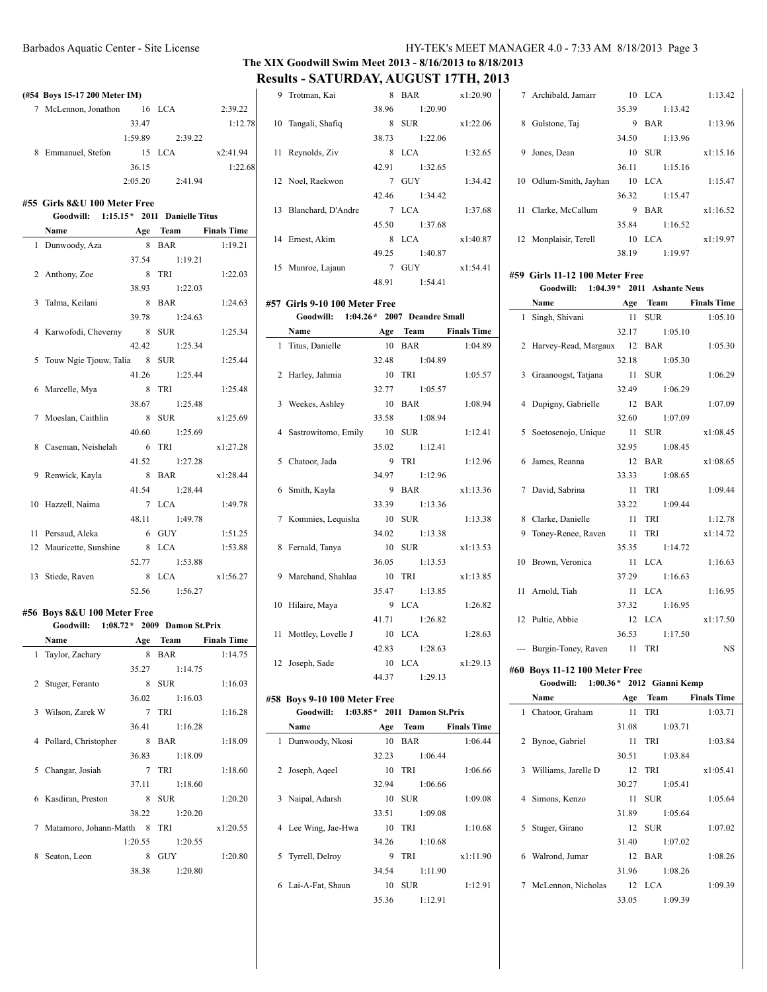### **The XIX Goodwill Swim Meet 2013 - 8/16/2013 to 8/18/2013 Results - SATURDAY, AUGUST 17TH, 2013**

|                | (#54 Boys 15-17 200 Meter IM)                                        |         |                     |                    |
|----------------|----------------------------------------------------------------------|---------|---------------------|--------------------|
|                | 7 McLennon, Jonathon 16 LCA                                          |         |                     | 2:39.22            |
|                |                                                                      | 33.47   |                     | 1:12.78            |
|                |                                                                      |         | $1:59.89$ $2:39.22$ |                    |
|                | 8 Emmanuel, Stefon                                                   |         | 15 LCA              | x2:41.94           |
|                |                                                                      | 36.15   |                     | 1:22.68            |
|                |                                                                      |         | 2:05.20 2:41.94     |                    |
|                |                                                                      |         |                     |                    |
|                | #55 Girls 8&U 100 Meter Free                                         |         |                     |                    |
|                | Goodwill: 1:15.15* 2011 Danielle Titus                               |         |                     |                    |
|                | Name Age Team Finals Time                                            |         |                     |                    |
|                | 1 Dunwoody, Aza                                                      | 8       | BAR                 | 1:19.21            |
|                |                                                                      | 37.54   | 1:19.21             |                    |
|                | 2 Anthony, Zoe                                                       | 8 TRI   |                     | 1:22.03            |
|                |                                                                      |         | 38.93 1:22.03       |                    |
|                | 3 Talma, Keilani                                                     |         | 8 BAR               | 1:24.63            |
|                |                                                                      |         | 39.78 1:24.63       |                    |
|                | 4 Karwofodi, Cheverny 8 SUR                                          |         |                     | 1:25.34            |
|                |                                                                      |         | 42.42 1:25.34       |                    |
|                | 5 Touw Ngie Tjouw, Talia 8 SUR                                       |         |                     | 1:25.44            |
|                |                                                                      |         | 41.26 1:25.44       |                    |
|                | 6 Marcelle, Mya                                                      |         | 8 TRI               | 1:25.48            |
|                |                                                                      | 38.67   | 1:25.48             |                    |
|                |                                                                      |         |                     |                    |
|                | 7 Moeslan, Caithlin                                                  |         | 8 SUR               | x1:25.69           |
|                |                                                                      | 40.60   | 1:25.69             |                    |
|                | 8 Caseman, Neishelah                                                 |         | 6 TRI               | x1:27.28           |
|                |                                                                      |         | 41.52 1:27.28       |                    |
|                | 9 Renwick, Kayla                                                     |         | 8 BAR               | x1:28.44           |
|                |                                                                      |         | 41.54 1:28.44       |                    |
|                | 10 Hazzell, Naima                                                    |         | 7 LCA               | 1:49.78            |
|                |                                                                      | 48.11   | 1:49.78             |                    |
|                | 11 Persaud, Aleka                                                    |         | 6 GUY               | 1:51.25            |
|                | 12 Mauricette, Sunshine                                              |         | 8 LCA               | 1:53.88            |
|                |                                                                      | 52.77   | 1:53.88             |                    |
|                | 13 Stiede, Raven                                                     |         | 8 LCA               | x1:56.27           |
|                |                                                                      | 52.56   | 1:56.27             |                    |
|                |                                                                      |         |                     |                    |
|                | #56 Boys 8&U 100 Meter Free<br>Goodwill: 1:08.72* 2009 Damon St.Prix |         |                     |                    |
|                |                                                                      |         |                     |                    |
|                | Name                                                                 | Age     | Team                | <b>Finals Time</b> |
| 1              | Taylor, Zachary                                                      | 8       | <b>BAR</b>          | 1:14.75            |
|                |                                                                      | 35.27   | 1:14.75             |                    |
| $\overline{2}$ | Stuger, Feranto                                                      | 8       | <b>SUR</b>          | 1:16.03            |
|                |                                                                      | 36.02   | 1:16.03             |                    |
| 3              | Wilson, Zarek W                                                      | 7       | TRI                 | 1:16.28            |
|                |                                                                      | 36.41   | 1:16.28             |                    |
| 4              | Pollard, Christopher                                                 | 8       | BAR                 | 1:18.09            |
|                |                                                                      | 36.83   | 1:18.09             |                    |
| 5              | Changar, Josiah                                                      | 7       | TRI                 | 1:18.60            |
|                |                                                                      | 37.11   | 1:18.60             |                    |
| 6              | Kasdiran, Preston                                                    | 8       | <b>SUR</b>          | 1:20.20            |
|                |                                                                      | 38.22   | 1:20.20             |                    |
| 7              | Matamoro, Johann-Matth 8                                             |         | TRI                 | x1:20.55           |
|                |                                                                      | 1:20.55 | 1:20.55             |                    |
| 8              | Seaton, Leon                                                         | 8       | GUY                 | 1:20.80            |
|                |                                                                      | 38.38   | 1:20.80             |                    |
|                |                                                                      |         |                     |                    |

|    | 9 Trotman, Kai        | 8     | <b>BAR</b>    | x1:20.90 |
|----|-----------------------|-------|---------------|----------|
|    |                       | 38.96 | 1:20.90       |          |
|    | 10 Tangali, Shafiq    |       | 8 SUR         | x1:22.06 |
|    |                       |       | 38.73 1:22.06 |          |
| 11 | Reynolds, Ziv         |       | 8 LCA         | 1:32.65  |
|    |                       |       | 42.91 1:32.65 |          |
|    | 12 Noel, Raekwon      |       | 7 GUY         | 1:34.42  |
|    |                       |       | 42.46 1:34.42 |          |
|    | 13 Blanchard, D'Andre |       | 7 LCA         | 1:37.68  |
|    |                       |       | 45.50 1:37.68 |          |
|    | 14 Ernest, Akim       | 8     | LCA           | x1:40.87 |
|    |                       |       | 49.25 1:40.87 |          |
|    | 15 Munroe, Lajaun     |       | 7 GUY         | x1:54.41 |
|    |                       |       | 48.91 1:54.41 |          |
|    |                       |       |               |          |

## **#57 Girls 9-10 100 Meter Free**

| Goodwill: 1:04.26* 2007 Deandre Small |               |                 |
|---------------------------------------|---------------|-----------------|
| Name<br><b>Age Team</b> Finals Time   |               |                 |
| 1 Titus, Danielle                     | 10 BAR        | 1:04.89         |
|                                       | 32.48 1:04.89 |                 |
| 2 Harley, Jahmia                      | 10 TRI        | 1:05.57         |
|                                       | 32.77 1:05.57 |                 |
| 3 Weekes, Ashley                      | 10 BAR        | 1:08.94         |
|                                       | 33.58 1:08.94 |                 |
| 4 Sastrowitomo, Emily 10 SUR          |               | 1:12.41         |
|                                       | 35.02 1:12.41 |                 |
| 5 Chatoor, Jada                       | $9$ TRI       | 1:12.96         |
|                                       | 34.97 1:12.96 |                 |
| 6 Smith, Kayla                        | 9 BAR         | x1:13.36        |
|                                       | 33.39 1:13.36 |                 |
| 7 Kommies, Lequisha 10 SUR            |               | 1:13.38         |
|                                       | 34.02 1:13.38 |                 |
| 8 Fernald, Tanya                      | 10 SUR        | x1:13.53        |
|                                       | 36.05 1:13.53 |                 |
| 9 Marchand, Shahlaa 10 TRI            |               | x1:13.85        |
|                                       | 35.47 1:13.85 |                 |
| 10 Hilaire, Maya                      | $9$ LCA       | 1:26.82         |
|                                       | 41.71 1:26.82 |                 |
| 11 Mottley, Lovelle J                 | 10 LCA        | 1:28.63         |
|                                       | 42.83 1:28.63 |                 |
| 12 Joseph, Sade                       |               | 10 LCA x1:29.13 |
|                                       | 44.37 1:29.13 |                 |

#### **#58 Boys 9-10 100 Meter Free**

| Goodwill: | $1:03.85*$ 2011 Damon St. Prix |  |  |  |
|-----------|--------------------------------|--|--|--|
|-----------|--------------------------------|--|--|--|

|   | Name                | Age   | <b>Team</b> | <b>Finals Time</b> |
|---|---------------------|-------|-------------|--------------------|
| 1 | Dunwoody, Nkosi     | 10    | <b>BAR</b>  | 1:06.44            |
|   |                     | 32.23 | 1:06.44     |                    |
| 2 | Joseph, Aqeel       | 10    | TRI         | 1:06.66            |
|   |                     | 32.94 | 1:06.66     |                    |
|   | 3 Naipal, Adarsh    |       | 10 SUR      | 1:09.08            |
|   |                     | 33.51 | 1:09.08     |                    |
|   | 4 Lee Wing, Jae-Hwa | 10    | TRI         | 1:10.68            |
|   |                     | 34.26 | 1:10.68     |                    |
|   | 5 Tyrrell, Delroy   | 9     | TRI         | x1:11.90           |
|   |                     | 34.54 | 1:11.90     |                    |
| 6 | Lai-A-Fat, Shaun    | 10    | <b>SUR</b>  | 1:12.91            |
|   |                     | 35.36 | 1:12.91     |                    |

|     | 7 Archibald, Jamarr    |       | $10$ LCA   | 1:13.42  |
|-----|------------------------|-------|------------|----------|
|     |                        | 35.39 | 1:13.42    |          |
| 8   | Gulstone, Taj          | 9     | <b>BAR</b> | 1:13.96  |
|     |                        | 34.50 | 1:13.96    |          |
| 9   | Jones, Dean            | 10    | <b>SUR</b> | x1:15.16 |
|     |                        | 36.11 | 1:15.16    |          |
|     | 10 Odlum-Smith, Jayhan | 10    | - LCA      | 1:15.47  |
|     |                        | 36.32 | 1:15.47    |          |
| 11. | Clarke, McCallum       | 9     | BAR        | x1:16.52 |
|     |                        | 35.84 | 1:16.52    |          |
|     | 12 Monplaisir, Terell  | 10    | LCA.       | x1:19.97 |
|     |                        | 38.19 | 1:19.97    |          |
|     |                        |       |            |          |

#### **#59 Girls 11-12 100 Meter Free**

|   | Goodwill: 1:04.39 * 2011 Ashante Neus |               |                      |
|---|---------------------------------------|---------------|----------------------|
|   | <b>Name</b>                           |               | Age Team Finals Time |
|   | 1 Singh, Shivani                      | 11 SUR        | 1:05.10              |
|   |                                       | 32.17 1:05.10 |                      |
|   | 2 Harvey-Read, Margaux 12 BAR         |               | 1:05.30              |
|   |                                       | 32.18 1:05.30 |                      |
|   | 3 Graanoogst, Tatjana 11 SUR          |               | 1:06.29              |
|   |                                       | 32.49 1:06.29 |                      |
|   | 4 Dupigny, Gabrielle 12 BAR           |               | 1:07.09              |
|   |                                       | 32.60 1:07.09 |                      |
|   | 5 Soetosenojo, Unique 11 SUR          |               | x1:08.45             |
|   |                                       | 32.95 1:08.45 |                      |
|   | 6 James, Reanna                       | 12 BAR        | x1:08.65             |
|   |                                       | 33.33 1:08.65 |                      |
|   | 7 David, Sabrina                      | 11 TRI        | 1:09.44              |
|   |                                       | 33.22 1:09.44 |                      |
|   | 8 Clarke, Danielle                    | 11 TRI        | 1:12.78              |
| 9 | Toney-Renee, Raven                    | 11 TRI        | x1:14.72             |
|   |                                       | 35.35 1:14.72 |                      |
|   | 10 Brown, Veronica                    | 11 LCA        | 1:16.63              |
|   |                                       | 37.29 1:16.63 |                      |
|   | 11 Arnold, Tiah                       | 11 LCA        | 1:16.95              |
|   |                                       | 37.32 1:16.95 |                      |
|   | 12 Pultie, Abbie                      | $12$ LCA      | x1:17.50             |
|   |                                       | 36.53 1:17.50 |                      |
|   | --- Burgin-Toney, Raven 11 TRI        |               | NS.                  |
|   |                                       |               |                      |

## **#60 Boys 11-12 100 Meter Free**

| Goodwill: |  |  | 1:00.36 * 2012 Gianni Kemp |
|-----------|--|--|----------------------------|
|-----------|--|--|----------------------------|

|   | Name                  | Age   | Team          | <b>Finals Time</b> |
|---|-----------------------|-------|---------------|--------------------|
|   | 1 Chatoor, Graham     |       | 11 TRI        | 1:03.71            |
|   |                       | 31.08 | 1:03.71       |                    |
|   | 2 Bynoe, Gabriel      | 11    | TRI           | 1:03.84            |
|   |                       | 30.51 | 1:03.84       |                    |
|   | 3 Williams, Jarelle D |       | 12 TRI        | x1:05.41           |
|   |                       | 30.27 | 1:05.41       |                    |
|   | 4 Simons, Kenzo       |       | 11 SUR        | 1:05.64            |
|   |                       | 31.89 | 1:05.64       |                    |
| 5 | Stuger, Girano        |       | 12 SUR        | 1:07.02            |
|   |                       | 31.40 | 1:07.02       |                    |
| 6 | Walrond, Jumar        |       | 12 BAR        | 1:08.26            |
|   |                       |       | 31.96 1:08.26 |                    |
|   | 7 McLennon, Nicholas  |       | 12 LCA        | 1:09.39            |
|   |                       | 33.05 | 1:09.39       |                    |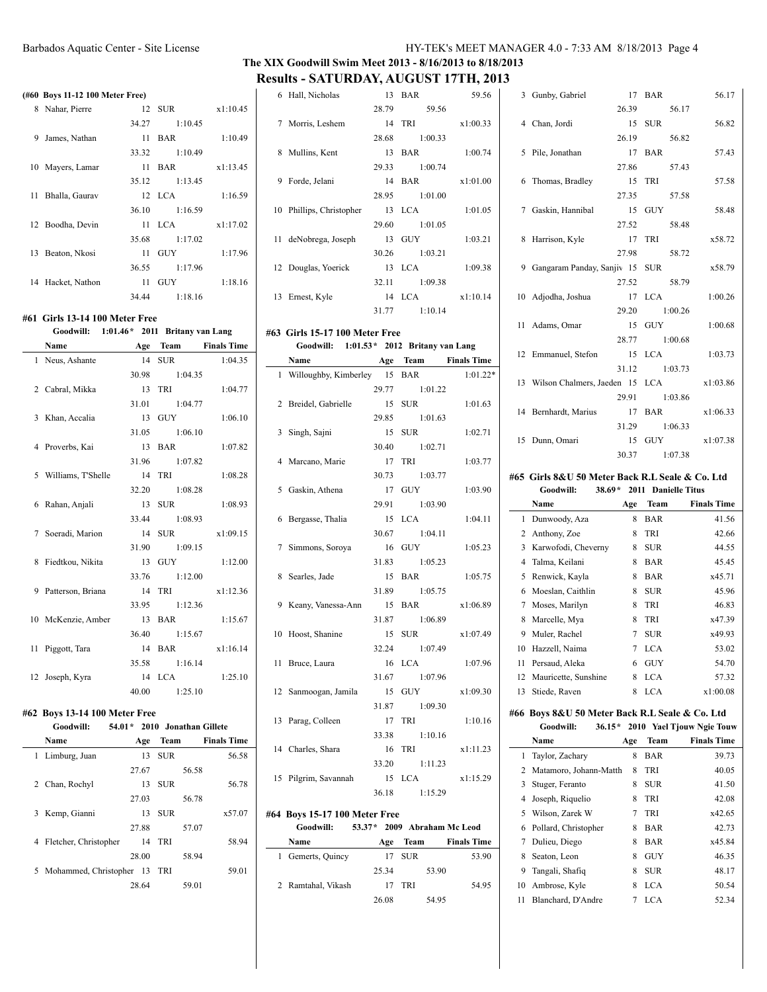### **The XIX Goodwill Swim Meet 2013 - 8/16/2013 to 8/18/2013 Results - SATURDAY, AUGUST 17TH, 2013**

6 Hall, Nicholas 13 BAR 59.56

|   | (#60 Boys 11-12 100 Meter Free) |       |                       |          | 6  |
|---|---------------------------------|-------|-----------------------|----------|----|
|   | 8 Nahar, Pierre                 |       | 12 SUR                | x1:10.45 |    |
|   |                                 | 34.27 | 1:10.45               |          | 7  |
| 9 | James, Nathan                   | 11    | BAR                   | 1:10.49  |    |
|   |                                 | 33.32 | 1:10.49               |          | 8  |
|   | 10 Mayers, Lamar                | 11    | BAR                   | x1:13.45 |    |
|   |                                 | 35.12 | 1:13.45               |          | 9  |
|   | 11 Bhalla, Gaurav               |       | 12 LCA                | 1:16.59  |    |
|   |                                 | 36.10 | 1:16.59               |          | 10 |
|   | 12 Boodha, Devin                |       | 11 LCA                | x1:17.02 |    |
|   |                                 | 35.68 | 1:17.02               |          | 11 |
|   | 13 Beaton, Nkosi                |       | $11 \quad \text{GUY}$ | 1:17.96  |    |
|   |                                 | 36.55 | 1:17.96               |          | 12 |
|   | 14 Hacket, Nathon               |       | $11 \quad \text{GUY}$ | 1:18.16  |    |
|   |                                 | 34.44 | 1:18.16               |          | 13 |

#### **#61 Girls 13-14 100 Meter Free**

#### **Goodwill: 1:01.46\* 2011 Britany van Lang**

| Name                 | Age | Team          | <b>Finals Time</b> |
|----------------------|-----|---------------|--------------------|
| 1 Neus, Ashante      |     | 14 SUR        | 1:04.35            |
|                      |     | 30.98 1:04.35 |                    |
| 2 Cabral, Mikka      |     | 13 TRI        | 1:04.77            |
|                      |     | 31.01 1:04.77 |                    |
| 3 Khan, Accalia      |     | 13 GUY        | 1:06.10            |
|                      |     | 31.05 1:06.10 |                    |
| 4 Proverbs, Kai      |     | 13 BAR        | 1:07.82            |
|                      |     | 31.96 1:07.82 |                    |
| 5 Williams, T'Shelle |     | 14 TRI        | 1:08.28            |
|                      |     | 32.20 1:08.28 |                    |
| 6 Rahan, Anjali      |     | 13 SUR        | 1:08.93            |
|                      |     | 33.44 1:08.93 |                    |
| 7 Soeradi, Marion    |     | 14 SUR        | x1:09.15           |
|                      |     | 31.90 1:09.15 |                    |
| 8 Fiedtkou, Nikita   |     | 13 GUY        | 1:12.00            |
|                      |     | 33.76 1:12.00 |                    |
| 9 Patterson, Briana  |     | 14 TRI        | x1:12.36           |
|                      |     | 33.95 1:12.36 |                    |
| 10 McKenzie, Amber   |     | 13 BAR        | 1:15.67            |
|                      |     | 36.40 1:15.67 |                    |
| 11 Piggott, Tara     |     |               | 14 BAR x1:16.14    |
|                      |     | 35.58 1:16.14 |                    |
| 12 Joseph, Kyra      |     | 14 LCA        | 1:25.10            |
|                      |     | 40.00 1:25.10 |                    |

#### **#62 Boys 13-14 100 Meter Free**

| Goodwill:                         | 54.01 * 2010 Jonathan Gillete |            |                    |
|-----------------------------------|-------------------------------|------------|--------------------|
| Name                              | Age                           | Team       | <b>Finals Time</b> |
| 1 Limburg, Juan                   | 13                            | <b>SUR</b> | 56.58              |
|                                   | 27.67                         | 56.58      |                    |
| Chan, Rochyl<br>2                 | 13                            | <b>SUR</b> | 56.78              |
|                                   | 27.03                         | 56.78      |                    |
| Kemp, Gianni<br>3                 | 13.                           | <b>SUR</b> | x57.07             |
|                                   | 27.88                         | 57.07      |                    |
| 4 Fletcher, Christopher           |                               | 14 TRI     | 58.94              |
|                                   | 28.00                         | 58.94      |                    |
| Mohammed, Christopher 13 TRI<br>5 |                               |            | 59.01              |
|                                   | 28.64                         | 59.01      |                    |

|   |                          | 28.79 | 59.56         |          |
|---|--------------------------|-------|---------------|----------|
|   | 7 Morris, Leshem         |       | 14 TRI        | x1:00.33 |
|   |                          | 28.68 | 1:00.33       |          |
| 8 | Mullins, Kent            |       | 13 BAR        | 1:00.74  |
|   |                          |       | 29.33 1:00.74 |          |
| 9 | Forde, Jelani            |       | 14 BAR        | x1:01.00 |
|   |                          |       | 28.95 1:01.00 |          |
|   | 10 Phillips, Christopher |       | 13 LCA        | 1:01.05  |
|   |                          |       | 29.60 1:01.05 |          |
|   | 11 deNobrega, Joseph     |       | 13 GUY        | 1:03.21  |
|   |                          |       | 30.26 1:03.21 |          |
|   | 12 Douglas, Yoerick      |       | $13$ $LCA$    | 1:09.38  |
|   |                          |       | 32.11 1:09.38 |          |
|   | 13 Ernest, Kyle          |       | 14 LCA        | x1:10.14 |
|   |                          | 31.77 | 1:10.14       |          |

#### **#63 Girls 15-17 100 Meter Free Goodwill: 1:01.53\* 2012 Britany van Lang**

| Name                           |                 | Age Team Finals Time |
|--------------------------------|-----------------|----------------------|
| 1 Willoughby, Kimberley 15 BAR |                 | $1:01.22*$           |
|                                | 29.77 1:01.22   |                      |
| 2 Breidel, Gabrielle 15 SUR    |                 | 1:01.63              |
|                                | 29.85 1:01.63   |                      |
| 3 Singh, Sajni                 | 15 SUR          | 1:02.71              |
|                                | 30.40 1:02.71   |                      |
| 4 Marcano, Marie               | 17 TRI          | 1:03.77              |
|                                | 30.73 1:03.77   |                      |
| 5 Gaskin, Athena               | 17 GUY          | 1:03.90              |
|                                | 29.91 1:03.90   |                      |
| 6 Bergasse, Thalia             | 15 LCA          | 1:04.11              |
|                                | 30.67 1:04.11   |                      |
| 7 Simmons, Soroya              | 16 GUY          | 1:05.23              |
|                                | 31.83 1:05.23   |                      |
| 8 Searles, Jade                | 15 BAR          | 1:05.75              |
|                                | 31.89 1:05.75   |                      |
| 9 Keany, Vanessa-Ann 15 BAR    |                 | x1:06.89             |
|                                | 31.87 1:06.89   |                      |
| 10 Hoost, Shanine              | 15 SUR          | x1:07.49             |
|                                | 32.24 1:07.49   |                      |
| 11 Bruce, Laura                | 16 LCA          | 1:07.96              |
|                                | 31.67 1:07.96   |                      |
| 12 Sanmoogan, Jamila 15 GUY    |                 | x1:09.30             |
|                                | 31.87 1:09.30   |                      |
| 13 Parag, Colleen              | 17 TRI          | 1:10.16              |
|                                | 33.38 1:10.16   |                      |
| 14 Charles, Shara              | 16 TRI x1:11.23 |                      |
|                                | 33.20 1:11.23   |                      |
| 15 Pilgrim, Savannah 15 LCA    |                 | x1:15.29             |
|                                | 36.18 1:15.29   |                      |

### **#64 Boys 15-17 100 Meter Free**

## **Goodwill: 53.37\* 2009 Abraham Mc Leod**

| Name | Age                                     |       | <b>Finals Time</b> |
|------|-----------------------------------------|-------|--------------------|
|      |                                         |       | 53.90              |
|      | 25.34                                   |       | 53.90              |
|      | 17                                      | - TRI | 54.95              |
|      | 26.08                                   |       | 54.95              |
|      | 1 Gemerts, Quincy<br>2 Ramtahal, Vikash |       | Team<br>17 SUR     |

| 3 Gunby, Gabriel                  |        | 17 BAR |               | 56.17    |
|-----------------------------------|--------|--------|---------------|----------|
|                                   |        |        | 26.39 56.17   |          |
| 4 Chan, Jordi                     | 15 SUR |        |               | 56.82    |
|                                   |        |        | 26.19 56.82   |          |
| 5 Pile, Jonathan                  | 17 BAR |        |               | 57.43    |
|                                   |        |        | 27.86 57.43   |          |
| 6 Thomas, Bradley                 | 15 TRI |        |               | 57.58    |
|                                   |        |        | 27.35 57.58   |          |
| 7 Gaskin, Hannibal                | 15 GUY |        |               | 58.48    |
|                                   |        |        | 27.52 58.48   |          |
| 8 Harrison, Kyle                  | 17 TRI |        |               | x58.72   |
|                                   |        |        | 27.98 58.72   |          |
| 9 Gangaram Panday, Sanjiv 15 SUR  |        |        |               | x58.79   |
|                                   |        |        | 27.52 58.79   |          |
| 10 Adjodha, Joshua 17 LCA         |        |        |               | 1:00.26  |
|                                   |        |        | 29.20 1:00.26 |          |
| 11 Adams, Omar                    | 15 GUY |        |               | 1:00.68  |
|                                   |        |        | 28.77 1:00.68 |          |
| 12 Emmanuel, Stefon 15 LCA        |        |        |               | 1:03.73  |
|                                   |        |        | 31.12 1:03.73 |          |
| 13 Wilson Chalmers, Jaeden 15 LCA |        |        |               | x1:03.86 |
|                                   |        |        | 29.91 1:03.86 |          |
| 14 Bernhardt, Marius 17 BAR       |        |        |               | x1:06.33 |
|                                   |        |        | 31.29 1:06.33 |          |
| 15 Dunn, Omari                    |        |        | 15 GUY        | x1:07.38 |
|                                   |        |        | 30.37 1:07.38 |          |

#### **#65 Girls 8&U 50 Meter Back R.L Seale & Co. Ltd Goodwill: 38.69\* 2011 Danielle Titus**

|    |                      |     |            | Daniene Into       |
|----|----------------------|-----|------------|--------------------|
|    | Name                 | Age | Team       | <b>Finals Time</b> |
| 1  | Dunwoody, Aza        | 8   | BAR        | 41.56              |
| 2  | Anthony, Zoe         | 8   | TRI        | 42.66              |
| 3  | Karwofodi, Cheverny  | 8   | <b>SUR</b> | 44.55              |
| 4  | Talma, Keilani       | 8   | BAR        | 45.45              |
| 5  | Renwick, Kayla       | 8   | BAR        | x45.71             |
| 6  | Moeslan, Caithlin    | 8   | <b>SUR</b> | 45.96              |
| 7  | Moses, Marilyn       | 8   | TRI        | 46.83              |
| 8  | Marcelle, Mya        | 8   | TRI        | x47.39             |
| 9  | Muler, Rachel        | 7   | <b>SUR</b> | x49.93             |
| 10 | Hazzell, Naima       | 7   | LCA        | 53.02              |
| 11 | Persaud, Aleka       | 6   | GUY        | 54.70              |
| 12 | Mauricette, Sunshine | 8   | LCA        | 57.32              |
| 13 | Stiede, Raven        | 8   | <b>LCA</b> | x1:00.08           |

#### **#66 Boys 8&U 50 Meter Back R.L Seale & Co. Ltd**

|    | Goodwill:<br>$36.15*$  |     |             | 2010 Yael Tjouw Ngie Touw |
|----|------------------------|-----|-------------|---------------------------|
|    | Name                   | Age | <b>Team</b> | <b>Finals Time</b>        |
| 1  | Taylor, Zachary        | 8   | BAR         | 39.73                     |
| 2  | Matamoro, Johann-Matth | 8   | <b>TRI</b>  | 40.05                     |
| 3  | Stuger, Feranto        | 8   | <b>SUR</b>  | 41.50                     |
| 4  | Joseph, Riquelio       | 8   | <b>TRI</b>  | 42.08                     |
| 5  | Wilson, Zarek W        | 7   | <b>TRI</b>  | x42.65                    |
| 6  | Pollard, Christopher   | 8   | <b>BAR</b>  | 42.73                     |
| 7  | Dulieu, Diego          | 8   | BAR         | x45.84                    |
| 8. | Seaton, Leon           | 8   | <b>GUY</b>  | 46.35                     |
| 9  | Tangali, Shafiq        | 8   | <b>SUR</b>  | 48.17                     |
| 10 | Ambrose, Kyle          | 8   | LCA         | 50.54                     |
| 11 | Blanchard, D'Andre     | 7   | LCA         | 52.34                     |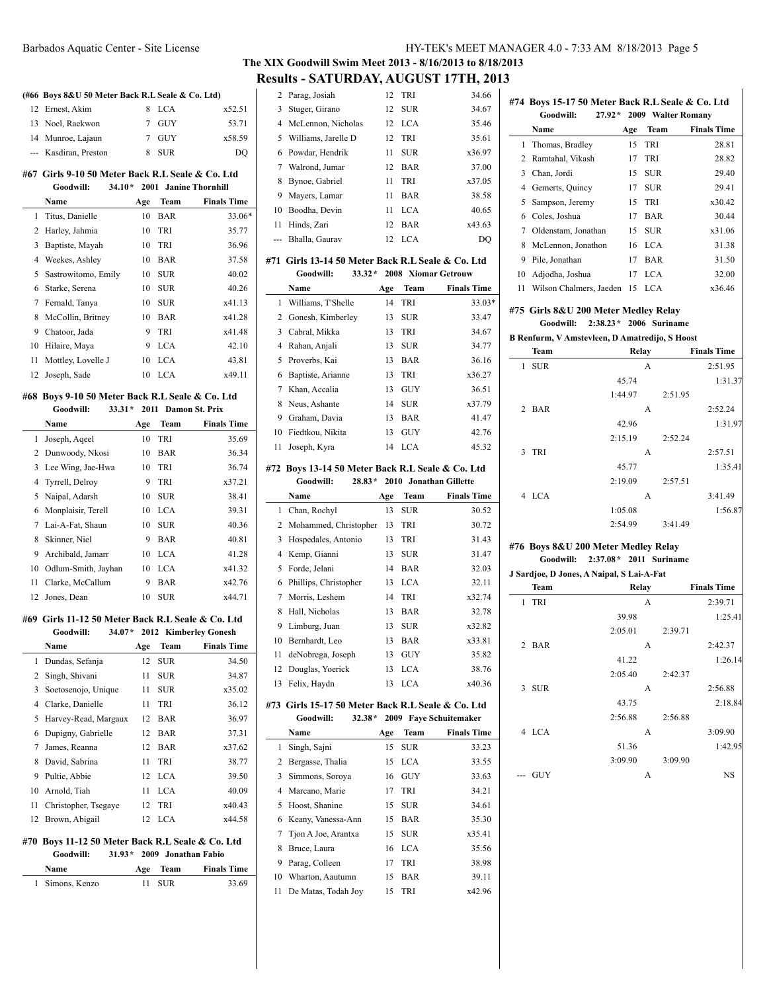## **The XIX Goodwill Swim Meet 2013 - 8/16/2013 to 8/18/2013 Results - SATURDAY, AUGUST 17TH, 2013**

|                                                                                                                                                                                                                                                                                                                                                                                                                                                                            |                                                   |     |            |                              | The XIX Goo            |
|----------------------------------------------------------------------------------------------------------------------------------------------------------------------------------------------------------------------------------------------------------------------------------------------------------------------------------------------------------------------------------------------------------------------------------------------------------------------------|---------------------------------------------------|-----|------------|------------------------------|------------------------|
|                                                                                                                                                                                                                                                                                                                                                                                                                                                                            |                                                   |     |            |                              | <b>Results -</b>       |
|                                                                                                                                                                                                                                                                                                                                                                                                                                                                            | (#66 Boys 8&U 50 Meter Back R.L Seale & Co. Ltd)  |     |            |                              | $\overline{2}$<br>Para |
| 12                                                                                                                                                                                                                                                                                                                                                                                                                                                                         | Ernest, Akim                                      | 8   | <b>LCA</b> | x52.51                       | 3<br>Stug              |
| 13                                                                                                                                                                                                                                                                                                                                                                                                                                                                         | Noel, Raekwon                                     | 7   | <b>GUY</b> | 53.71                        | 4<br>McI               |
|                                                                                                                                                                                                                                                                                                                                                                                                                                                                            | 14 Munroe, Lajaun                                 | 7   | GUY        | x58.59                       | 5<br>Will              |
| $\frac{1}{2} \left( \frac{1}{2} \right) \left( \frac{1}{2} \right) \left( \frac{1}{2} \right) \left( \frac{1}{2} \right) \left( \frac{1}{2} \right) \left( \frac{1}{2} \right) \left( \frac{1}{2} \right) \left( \frac{1}{2} \right) \left( \frac{1}{2} \right) \left( \frac{1}{2} \right) \left( \frac{1}{2} \right) \left( \frac{1}{2} \right) \left( \frac{1}{2} \right) \left( \frac{1}{2} \right) \left( \frac{1}{2} \right) \left( \frac{1}{2} \right) \left( \frac$ | Kasdiran, Preston                                 | 8   | SUR        | DQ                           | 6<br>Pow               |
|                                                                                                                                                                                                                                                                                                                                                                                                                                                                            |                                                   |     |            |                              | 7<br>Walı              |
|                                                                                                                                                                                                                                                                                                                                                                                                                                                                            | #67  Girls 9-10 50 Meter Back R.L Seale & Co. Ltd |     |            |                              | 8<br>Byn               |
|                                                                                                                                                                                                                                                                                                                                                                                                                                                                            | $34.10*$<br>Goodwill:                             |     |            | 2001 Janine Thornhill        | 9<br>May               |
|                                                                                                                                                                                                                                                                                                                                                                                                                                                                            | Name                                              | Age | Team       | <b>Finals Time</b>           | 10<br>Boo              |
| 1                                                                                                                                                                                                                                                                                                                                                                                                                                                                          | Titus, Danielle                                   | 10  | <b>BAR</b> | 33.06*                       | 11<br>Hino             |
| 2                                                                                                                                                                                                                                                                                                                                                                                                                                                                          | Harley, Jahmia                                    | 10  | TRI        | 35.77                        | Bhal<br>---            |
| 3                                                                                                                                                                                                                                                                                                                                                                                                                                                                          | Baptiste, Mayah                                   | 10  | TRI        | 36.96                        |                        |
|                                                                                                                                                                                                                                                                                                                                                                                                                                                                            | 4 Weekes, Ashley                                  | 10  | BAR        | 37.58                        | #71 Girl               |
| 5                                                                                                                                                                                                                                                                                                                                                                                                                                                                          | Sastrowitomo, Emily                               | 10  | SUR        | 40.02                        | G                      |
| 6                                                                                                                                                                                                                                                                                                                                                                                                                                                                          | Starke, Serena                                    | 10  | <b>SUR</b> | 40.26                        | Nan<br>$\mathbf{1}$    |
| 7                                                                                                                                                                                                                                                                                                                                                                                                                                                                          | Fernald, Tanya                                    | 10  | <b>SUR</b> | x41.13                       | Will                   |
| 8                                                                                                                                                                                                                                                                                                                                                                                                                                                                          | McCollin, Britney                                 | 10  | <b>BAR</b> | x41.28                       | $\overline{2}$<br>Gon  |
| 9                                                                                                                                                                                                                                                                                                                                                                                                                                                                          | Chatoor, Jada                                     | 9   | TRI        | x41.48                       | 3<br>Cab               |
| 10                                                                                                                                                                                                                                                                                                                                                                                                                                                                         | Hilaire, Maya                                     | 9   | <b>LCA</b> | 42.10                        | 4<br>Rah               |
| 11                                                                                                                                                                                                                                                                                                                                                                                                                                                                         | Mottley, Lovelle J                                | 10  | <b>LCA</b> | 43.81                        | 5<br>Prov              |
| 12                                                                                                                                                                                                                                                                                                                                                                                                                                                                         | Joseph, Sade                                      | 10  | LCA        | x49.11                       | 6<br>Bapt<br>7         |
|                                                                                                                                                                                                                                                                                                                                                                                                                                                                            | #68 Boys 9-10 50 Meter Back R.L Seale & Co. Ltd   |     |            |                              | Kha                    |
|                                                                                                                                                                                                                                                                                                                                                                                                                                                                            | $33.31*$<br>Goodwill:                             |     |            | 2011 Damon St. Prix          | 8<br>Neu               |
|                                                                                                                                                                                                                                                                                                                                                                                                                                                                            | Name                                              | Age | Team       | <b>Finals Time</b>           | 9 Grał                 |
| 1                                                                                                                                                                                                                                                                                                                                                                                                                                                                          | Joseph, Aqeel                                     | 10  | TRI        | 35.69                        | 10<br>Fied             |
| 2                                                                                                                                                                                                                                                                                                                                                                                                                                                                          | Dunwoody, Nkosi                                   | 10  | <b>BAR</b> | 36.34                        | 11<br>Jose             |
| 3                                                                                                                                                                                                                                                                                                                                                                                                                                                                          | Lee Wing, Jae-Hwa                                 | 10  | TRI        | 36.74                        | #72 Boys               |
| 4                                                                                                                                                                                                                                                                                                                                                                                                                                                                          | Tyrrell, Delroy                                   | 9   | TRI        | x37.21                       | G                      |
| 5                                                                                                                                                                                                                                                                                                                                                                                                                                                                          | Naipal, Adarsh                                    | 10  | <b>SUR</b> | 38.41                        | Nan                    |
| 6                                                                                                                                                                                                                                                                                                                                                                                                                                                                          | Monplaisir, Terell                                | 10  | LCA        | 39.31                        | 1<br>Cha               |
| 7                                                                                                                                                                                                                                                                                                                                                                                                                                                                          | Lai-A-Fat, Shaun                                  | 10  | SUR        | 40.36                        | 2<br>Moh               |
| 8                                                                                                                                                                                                                                                                                                                                                                                                                                                                          | Skinner, Niel                                     | 9   | <b>BAR</b> | 40.81                        | 3<br>Hos               |
| 9                                                                                                                                                                                                                                                                                                                                                                                                                                                                          | Archibald, Jamarr                                 | 10  | <b>LCA</b> | 41.28                        | 4<br>Ken               |
|                                                                                                                                                                                                                                                                                                                                                                                                                                                                            | 10 Odlum-Smith, Jayhan                            | 10  | LCA        | x41.32                       | 5<br>Ford              |
| 11                                                                                                                                                                                                                                                                                                                                                                                                                                                                         | Clarke, McCallum                                  | 9   | <b>BAR</b> | x42.76                       | Phil<br>6              |
| 12                                                                                                                                                                                                                                                                                                                                                                                                                                                                         | Jones, Dean                                       | 10  | <b>SUR</b> | x44.71                       | 7<br>Mor               |
|                                                                                                                                                                                                                                                                                                                                                                                                                                                                            | #69 Girls 11-12 50 Meter Back R.L Seale & Co. Ltd |     |            |                              | 8<br>Hall              |
|                                                                                                                                                                                                                                                                                                                                                                                                                                                                            | Goodwill:                                         |     |            | 34.07* 2012 Kimberley Gonesh | 9<br>Lim               |
|                                                                                                                                                                                                                                                                                                                                                                                                                                                                            | Name                                              | Age | Team       | <b>Finals Time</b>           | 10<br>Berr             |
| 1                                                                                                                                                                                                                                                                                                                                                                                                                                                                          | Dundas, Sefanja                                   | 12  | <b>SUR</b> | 34.50                        | deN<br>11              |
| $\mathbf{2}$                                                                                                                                                                                                                                                                                                                                                                                                                                                               | Singh, Shivani                                    | 11  | SUR        | 34.87                        | 12<br>Dou              |
| 3                                                                                                                                                                                                                                                                                                                                                                                                                                                                          | Soetosenojo, Unique                               | 11  | SUR        | x35.02                       | 13<br>Feliz            |
|                                                                                                                                                                                                                                                                                                                                                                                                                                                                            | 4 Clarke, Danielle                                | 11  | TRI        | 36.12                        | #73 Girl               |
| 5                                                                                                                                                                                                                                                                                                                                                                                                                                                                          | Harvey-Read, Margaux                              | 12  | BAR        | 36.97                        | G                      |
| 6                                                                                                                                                                                                                                                                                                                                                                                                                                                                          | Dupigny, Gabrielle                                | 12  | <b>BAR</b> | 37.31                        | Nan                    |
| 7                                                                                                                                                                                                                                                                                                                                                                                                                                                                          | James, Reanna                                     | 12  | <b>BAR</b> | x37.62                       | 1<br>Sing              |
| 8                                                                                                                                                                                                                                                                                                                                                                                                                                                                          | David, Sabrina                                    | 11  | TRI        | 38.77                        | 2<br>Berg              |
| 9                                                                                                                                                                                                                                                                                                                                                                                                                                                                          | Pultie, Abbie                                     | 12  | <b>LCA</b> | 39.50                        | 3<br>Sim               |
| 10                                                                                                                                                                                                                                                                                                                                                                                                                                                                         | Arnold, Tiah                                      | 11  | <b>LCA</b> | 40.09                        | 4<br>Mar               |
| 11                                                                                                                                                                                                                                                                                                                                                                                                                                                                         | Christopher, Tsegaye                              | 12  | TRI        | x40.43                       | 5<br>Hoo               |
| 12                                                                                                                                                                                                                                                                                                                                                                                                                                                                         | Brown, Abigail                                    | 12  | LCA        | x44.58                       | 6<br>Kea               |
|                                                                                                                                                                                                                                                                                                                                                                                                                                                                            |                                                   |     |            |                              | 7<br>Tjon              |
|                                                                                                                                                                                                                                                                                                                                                                                                                                                                            | #70 Boys 11-12 50 Meter Back R.L Seale & Co. Ltd  |     |            |                              | 8<br>Bruc              |
|                                                                                                                                                                                                                                                                                                                                                                                                                                                                            | $31.93*$<br>Goodwill:                             |     |            | 2009 Jonathan Fabio          | 9<br>Para              |
|                                                                                                                                                                                                                                                                                                                                                                                                                                                                            | Name                                              | Age | Team       | <b>Finals Time</b>           | 10<br>Wha              |
| 1                                                                                                                                                                                                                                                                                                                                                                                                                                                                          | Simons, Kenzo                                     | 11  | SUR        | 33.69                        | 11<br>De N             |
|                                                                                                                                                                                                                                                                                                                                                                                                                                                                            |                                                   |     |            |                              |                        |
|                                                                                                                                                                                                                                                                                                                                                                                                                                                                            |                                                   |     |            |                              |                        |

|                | esults - SATURDAY, AUGUST 17TH, 201.               |     |            |                        |
|----------------|----------------------------------------------------|-----|------------|------------------------|
| 2              | Parag, Josiah                                      | 12  | TRI        | 34.66                  |
| 3              | Stuger, Girano                                     | 12  | <b>SUR</b> | 34.67                  |
| 4              | McLennon, Nicholas                                 | 12  | LCA        | 35.46                  |
| 5              | Williams, Jarelle D                                | 12  | TRI        | 35.61                  |
| 6              | Powdar, Hendrik                                    | 11  | <b>SUR</b> | x36.97                 |
| 7              | Walrond, Jumar                                     | 12  | <b>BAR</b> | 37.00                  |
| 8              | Bynoe, Gabriel                                     | 11  | TRI        | x37.05                 |
| 9              | Mayers, Lamar                                      | 11  | BAR        | 38.58                  |
| 10             | Boodha, Devin                                      | 11  | <b>LCA</b> | 40.65                  |
| 11             | Hinds, Zari                                        | 12  | <b>BAR</b> | x43.63                 |
| ---            | Bhalla, Gaurav                                     | 12  | <b>LCA</b> | DQ                     |
|                | #71 Girls 13-14 50 Meter Back R.L Seale & Co. Ltd  |     |            |                        |
|                | Goodwill:<br>$33.32*$                              |     |            | 2008 Xiomar Getrouw    |
|                | Name                                               | Age | Team       | <b>Finals Time</b>     |
| 1              | Williams, T'Shelle                                 | 14  | TRI        | 33.03*                 |
| 2              | Gonesh, Kimberley                                  | 13  | <b>SUR</b> | 33.47                  |
| 3              | Cabral, Mikka                                      | 13  | TRI        | 34.67                  |
| 4              | Rahan, Anjali                                      | 13  | <b>SUR</b> | 34.77                  |
| 5              | Proverbs, Kai                                      | 13  | <b>BAR</b> | 36.16                  |
| 6              | Baptiste, Arianne                                  | 13  | TRI        | x36.27                 |
| 7              | Khan, Accalia                                      | 13  | GUY        | 36.51                  |
| 8              | Neus, Ashante                                      | 14  | <b>SUR</b> | x37.79                 |
| 9              | Graham, Davia                                      | 13  | <b>BAR</b> | 41.47                  |
| 10             | Fiedtkou, Nikita                                   | 13  | <b>GUY</b> | 42.76                  |
| 11             | Joseph, Kyra                                       | 14  | LCA        | 45.32                  |
|                | #72 Boys 13-14 50 Meter Back R.L Seale & Co. Ltd   |     |            |                        |
|                | Goodwill:<br>$28.83*$                              |     |            | 2010 Jonathan Gillette |
|                | Name                                               | Age | Team       | <b>Finals Time</b>     |
| 1              | Chan, Rochyl                                       | 13  | <b>SUR</b> | 30.52                  |
| 2              | Mohammed, Christopher 13                           |     | TRI        | 30.72                  |
| 3              | Hospedales, Antonio                                | 13  | TRI        | 31.43                  |
| $\overline{4}$ | Kemp, Gianni                                       | 13  | <b>SUR</b> | 31.47                  |
| 5              | Forde, Jelani                                      | 14  | <b>BAR</b> | 32.03                  |
| 6              | Phillips, Christopher                              | 13  | LCA        | 32.11                  |
| 7              | Morris, Leshem                                     | 14  | TRI        | x32.74                 |
| 8              | Hall, Nicholas                                     | 13  | <b>BAR</b> | 32.78                  |
| 9              | Limburg, Juan                                      | 13  | <b>SUR</b> | x32.82                 |
| 10             | Bernhardt, Leo                                     | 13  | <b>BAR</b> | x33.81                 |
| 11             | deNobrega, Joseph                                  | 13  | GUY        | 35.82                  |
| 12             | Douglas, Yoerick                                   | 13  | LCA        | 38.76                  |
| 13             | Felix, Haydn                                       | 13  | LCA        | x40.36                 |
|                | #73  Girls 15-17 50 Meter Back R.L Seale & Co. Ltd |     |            |                        |
|                | Goodwill:<br>32.38*                                |     |            | 2009 Faye Schuitemaker |
|                | Name                                               | Age | Team       | <b>Finals Time</b>     |
| 1              | Singh, Sajni                                       | 15  | <b>SUR</b> | 33.23                  |
| 2              | Bergasse, Thalia                                   | 15  | LCA        | 33.55                  |
| 3              | Simmons, Soroya                                    | 16  | GUY        | 33.63                  |
| 4              | Marcano, Marie                                     | 17  | TRI        | 34.21                  |
| 5              | Hoost, Shanine                                     | 15  | <b>SUR</b> | 34.61                  |
| 6              | Keany, Vanessa-Ann                                 | 15  | BAR        | 35.30                  |
| 7              | Tjon A Joe, Arantxa                                | 15  | <b>SUR</b> | x35.41                 |
| 8              | Bruce, Laura                                       | 16  | <b>LCA</b> | 35.56                  |
| 9              | Parag, Colleen                                     | 17  | TRI        | 38.98                  |
| 10             | Wharton, Aautumn                                   | 15  | <b>BAR</b> | 39.11                  |
| 11             | De Matas, Todah Joy                                | 15  | TRI        | x42.96                 |
|                |                                                    |     |            |                        |
|                |                                                    |     |            |                        |

|    | #74 Boys 15-17 50 Meter Back R.L Seale & Co. Ltd |     |            |                    |  |
|----|--------------------------------------------------|-----|------------|--------------------|--|
|    | Goodwill:<br>$27.92*$                            |     |            | 2009 Walter Romany |  |
|    | Name                                             | Age | Team       | <b>Finals Time</b> |  |
| 1  | Thomas, Bradley                                  | 15  | TRI        | 28.81              |  |
| 2  | Ramtahal, Vikash                                 | 17  | TRI        | 28.82              |  |
| 3  | Chan, Jordi                                      | 15  | <b>SUR</b> | 29.40              |  |
| 4  | Gemerts, Quincy                                  | 17  | <b>SUR</b> | 29.41              |  |
| 5. | Sampson, Jeremy                                  | 15  | TRI        | x30.42             |  |
| 6  | Coles, Joshua                                    | 17  | <b>BAR</b> | 30.44              |  |
| 7  | Oldenstam, Jonathan                              | 15  | <b>SUR</b> | x31.06             |  |
| 8  | McLennon, Jonathon                               | 16  | LCA.       | 31.38              |  |
| 9  | Pile, Jonathan                                   | 17  | <b>BAR</b> | 31.50              |  |
| 10 | Adjodha, Joshua                                  | 17  | LCA.       | 32.00              |  |
| 11 | Wilson Chalmers, Jaeden                          | 15  | <b>LCA</b> | x36.46             |  |

#### **#75 Girls 8&U 200 Meter Medley Relay Goodwill: 2:38.23\* 2006 Suriname**

|  |  |  | B Renfurm, V Amstevleen, D Amatredijo, S Hoost |  |  |  |  |  |
|--|--|--|------------------------------------------------|--|--|--|--|--|
|--|--|--|------------------------------------------------|--|--|--|--|--|

| Team                 | Relay   | <b>Finals Time</b> |
|----------------------|---------|--------------------|
| 1 SUR                | A       | 2:51.95            |
|                      | 45.74   | 1:31.37            |
|                      | 1:44.97 | 2:51.95            |
| 2 BAR                | A       | 2:52.24            |
|                      | 42.96   | 1:31.97            |
|                      | 2:15.19 | 2:52.24            |
| TRI<br>$\mathcal{L}$ | A       | 2:57.51            |
|                      | 45.77   | 1:35.41            |
|                      | 2:19.09 | 2:57.51            |
| 4 LCA                | A       | 3:41.49            |
|                      | 1:05.08 | 1:56.87            |
|                      | 2:54.99 | 3:41.49            |

#### **#76 Boys 8&U 200 Meter Medley Relay**

**Goodwill: 2:37.08\* 2011 Suriname**

| J Sardjoe, D Jones, A Naipal, S Lai-A-Fat |                    |                    |  |  |  |
|-------------------------------------------|--------------------|--------------------|--|--|--|
| Team                                      | Relay              | <b>Finals Time</b> |  |  |  |
| TRI                                       | A                  | 2:39.71            |  |  |  |
|                                           | 39.98              | 1:25.41            |  |  |  |
|                                           | 2:05.01<br>2:39.71 |                    |  |  |  |
| 2 BAR                                     | A                  | 2.42.37            |  |  |  |
|                                           | 41.22              | 1:26.14            |  |  |  |

|       |       | 41.22   |   |         | 1:26.14 |
|-------|-------|---------|---|---------|---------|
|       |       | 2:05.40 |   | 2:42.37 |         |
|       | 3 SUR |         | А |         | 2:56.88 |
|       |       | 43.75   |   |         | 2:18.84 |
|       |       | 2:56.88 |   | 2:56.88 |         |
|       | 4 LCA |         | А |         | 3:09.90 |
|       |       | 51.36   |   |         | 1:42.95 |
|       |       | 3:09.90 |   | 3:09.90 |         |
| $---$ | GUY   |         | А |         | NS      |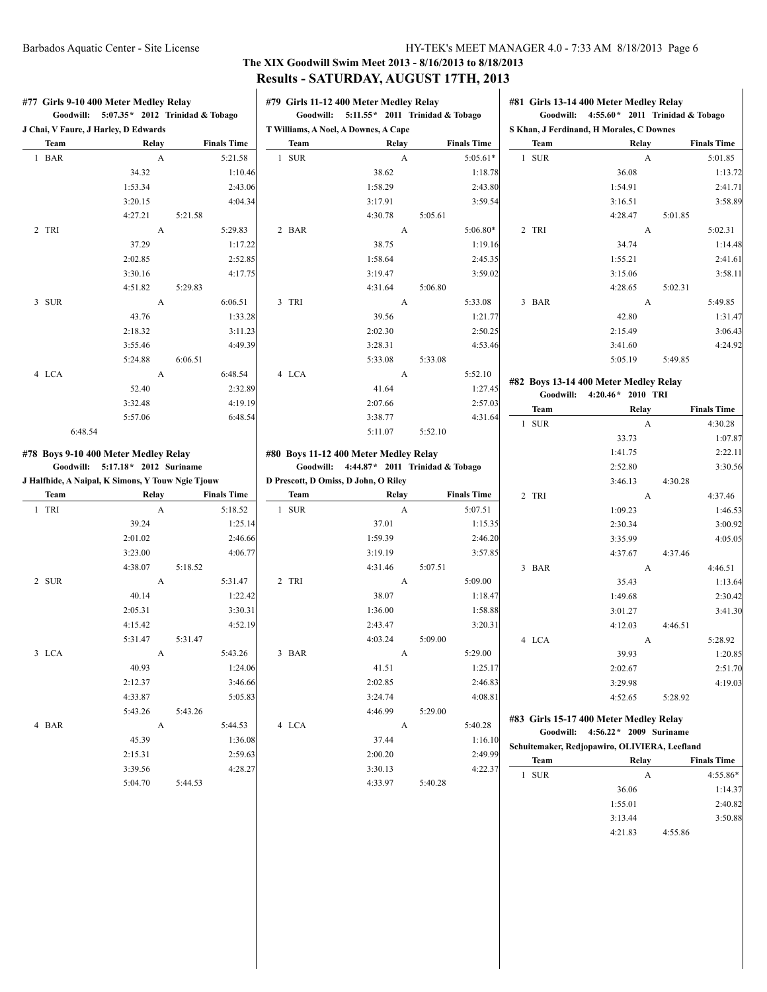#### **The XIX Goodwill Swim Meet 2013 - 8/16/2013 to 8/18/2013 Results - SATURDAY, AUGUST 17TH, 2013**  $\overline{1}$

|                                                   | Goodwill: 5:07.35* 2012 Trinidad & Tobago |         |                               | Goodwill: 5:11.55* 2011 Trinidad & Tobago |                                            |         |                                | Goodwill: $4:55.60*$ 2011 Trinidad & Tobago |                                               |         |                                                                                                            |
|---------------------------------------------------|-------------------------------------------|---------|-------------------------------|-------------------------------------------|--------------------------------------------|---------|--------------------------------|---------------------------------------------|-----------------------------------------------|---------|------------------------------------------------------------------------------------------------------------|
| J Chai, V Faure, J Harley, D Edwards              |                                           |         |                               |                                           | T Williams, A Noel, A Downes, A Cape       |         |                                |                                             | S Khan, J Ferdinand, H Morales, C Downes      |         |                                                                                                            |
| Team<br>1 BAR                                     | Relay<br>$\mathbf{A}$                     |         | <b>Finals Time</b><br>5:21.58 | Team<br>1 SUR                             | Relay<br>$\mathbf{A}$                      |         | <b>Finals Time</b><br>5:05.61* | Team<br>1 SUR                               | Relay<br>A                                    |         | <b>Finals Time</b>                                                                                         |
|                                                   | 34.32                                     |         |                               |                                           | 38.62                                      |         |                                |                                             | 36.08                                         |         | 5:01.85                                                                                                    |
|                                                   | 1:53.34                                   |         | 1:10.46<br>2:43.06            |                                           | 1:58.29                                    |         | 1:18.78                        |                                             | 1:54.91                                       |         | 1:13.72                                                                                                    |
|                                                   | 3:20.15                                   |         | 4:04.34                       |                                           | 3:17.91                                    |         | 2:43.80<br>3:59.54             |                                             | 3:16.51                                       |         | 2:41.71<br>3:58.89                                                                                         |
|                                                   | 4:27.21                                   | 5:21.58 |                               |                                           | 4:30.78                                    | 5:05.61 |                                |                                             | 4:28.47                                       | 5:01.85 |                                                                                                            |
| 2 TRI                                             | A                                         |         | 5:29.83                       | 2 BAR                                     | A                                          |         | $5:06.80*$                     | 2 TRI                                       | A                                             |         | 5:02.31                                                                                                    |
|                                                   | 37.29                                     |         | 1:17.22                       |                                           | 38.75                                      |         | 1:19.16                        |                                             | 34.74                                         |         | 1:14.48                                                                                                    |
|                                                   | 2:02.85                                   |         | 2:52.85                       |                                           | 1:58.64                                    |         | 2:45.35                        |                                             | 1:55.21                                       |         | 2:41.61                                                                                                    |
|                                                   | 3:30.16                                   |         | 4:17.75                       |                                           | 3:19.47                                    |         | 3:59.02                        |                                             | 3:15.06                                       |         | 3:58.11                                                                                                    |
|                                                   | 4:51.82                                   | 5:29.83 |                               |                                           | 4:31.64                                    | 5:06.80 |                                |                                             | 4:28.65                                       | 5:02.31 |                                                                                                            |
| 3 SUR                                             | A                                         |         | 6:06.51                       | 3 TRI                                     | A                                          |         | 5:33.08                        | 3 BAR                                       | A                                             |         | 5:49.85                                                                                                    |
|                                                   | 43.76                                     |         | 1:33.28                       |                                           | 39.56                                      |         | 1:21.77                        |                                             | 42.80                                         |         | 1:31.47                                                                                                    |
|                                                   | 2:18.32                                   |         | 3:11.23                       |                                           | 2:02.30                                    |         | 2:50.25                        |                                             | 2:15.49                                       |         | 3:06.43                                                                                                    |
|                                                   | 3:55.46                                   |         | 4:49.39                       |                                           | 3:28.31                                    |         | 4:53.46                        |                                             | 3:41.60                                       |         | 4:24.92                                                                                                    |
|                                                   | 5:24.88                                   | 6:06.51 |                               |                                           | 5:33.08                                    | 5:33.08 |                                |                                             | 5:05.19                                       | 5:49.85 |                                                                                                            |
| 4 LCA                                             | A                                         |         | 6:48.54                       | 4 LCA                                     | A                                          |         | 5:52.10                        |                                             |                                               |         |                                                                                                            |
|                                                   | 52.40                                     |         | 2:32.89                       |                                           | 41.64                                      |         | 1:27.45                        |                                             | #82 Boys 13-14 400 Meter Medley Relay         |         |                                                                                                            |
|                                                   | 3:32.48                                   |         | 4:19.19                       |                                           | 2:07.66                                    |         | 2:57.03                        |                                             | Goodwill: 4:20.46* 2010 TRI                   |         |                                                                                                            |
|                                                   | 5:57.06                                   |         | 6:48.54                       |                                           | 3:38.77                                    |         | 4:31.64                        | Team                                        | Relay                                         |         | <b>Finals Time</b>                                                                                         |
| 6:48.54                                           |                                           |         |                               |                                           | 5:11.07                                    | 5:52.10 |                                | 1 SUR                                       | A                                             |         | 4:30.28                                                                                                    |
|                                                   |                                           |         |                               |                                           |                                            |         |                                |                                             | 33.73                                         |         | 1:07.87                                                                                                    |
|                                                   |                                           |         |                               |                                           |                                            |         |                                |                                             |                                               |         |                                                                                                            |
| #78 Boys 9-10 400 Meter Medley Relay              |                                           |         |                               |                                           | #80 Boys 11-12 400 Meter Medley Relay      |         |                                |                                             | 1:41.75                                       |         | 2:22.11                                                                                                    |
|                                                   | Goodwill: 5:17.18* 2012 Suriname          |         |                               |                                           | Goodwill: 4:44.87 * 2011 Trinidad & Tobago |         |                                |                                             | 2:52.80                                       |         |                                                                                                            |
| J Halfhide, A Naipal, K Simons, Y Touw Ngie Tjouw |                                           |         |                               |                                           | D Prescott, D Omiss, D John, O Riley       |         |                                |                                             | 3:46.13                                       | 4:30.28 |                                                                                                            |
| Team                                              | Relay                                     |         | <b>Finals Time</b>            | Team                                      | Relay                                      |         | <b>Finals Time</b>             | 2 TRI                                       | A                                             |         | 4:37.46                                                                                                    |
| 1 TRI                                             | A                                         |         | 5:18.52                       | 1 SUR                                     | A                                          |         | 5:07.51                        |                                             | 1:09.23                                       |         |                                                                                                            |
|                                                   | 39.24                                     |         | 1:25.14                       |                                           | 37.01                                      |         | 1:15.35                        |                                             | 2:30.34                                       |         |                                                                                                            |
|                                                   | 2:01.02                                   |         | 2:46.66                       |                                           | 1:59.39                                    |         | 2:46.20                        |                                             | 3:35.99                                       |         |                                                                                                            |
|                                                   | 3:23.00                                   |         | 4:06.77                       |                                           | 3:19.19                                    |         | 3:57.85                        |                                             | 4:37.67                                       | 4:37.46 |                                                                                                            |
|                                                   | 4:38.07                                   | 5:18.52 |                               |                                           | 4:31.46                                    | 5:07.51 |                                | 3 BAR                                       | A                                             |         | 4:46.51                                                                                                    |
| 2 SUR                                             | A                                         |         | 5:31.47                       | 2 TRI                                     | A                                          |         | 5:09.00                        |                                             | 35.43                                         |         |                                                                                                            |
|                                                   | 40.14                                     |         | 1:22.42                       |                                           | 38.07                                      |         | 1:18.47                        |                                             | 1:49.68                                       |         |                                                                                                            |
|                                                   | 2:05.31                                   |         | 3:30.31                       |                                           | 1:36.00                                    |         | 1:58.88                        |                                             | 3:01.27                                       |         |                                                                                                            |
|                                                   | 4:15.42                                   |         | 4:52.19                       |                                           | 2:43.47                                    |         | 3:20.31                        |                                             | 4:12.03                                       | 4:46.51 |                                                                                                            |
|                                                   | 5:31.47                                   | 5:31.47 |                               |                                           | 4:03.24                                    | 5:09.00 |                                | 4 LCA                                       | A                                             |         | 5:28.92                                                                                                    |
| 3 LCA                                             | A                                         |         | 5:43.26                       | 3 BAR                                     | A                                          |         | 5:29.00                        |                                             | 39.93                                         |         |                                                                                                            |
|                                                   | 40.93                                     |         | 1:24.06                       |                                           | 41.51                                      |         | 1:25.17                        |                                             | 2:02.67                                       |         |                                                                                                            |
|                                                   | 2:12.37                                   |         | 3:46.66                       |                                           | 2:02.85                                    |         | 2:46.83                        |                                             | 3:29.98                                       |         |                                                                                                            |
|                                                   | 4:33.87                                   |         | 5:05.83                       |                                           | 3:24.74                                    |         | 4:08.81                        |                                             | 4:52.65                                       | 5:28.92 | 3:30.56<br>1:46.53<br>3:00.92<br>4:05.05<br>1:13.64<br>2:30.42<br>3:41.30<br>1:20.85<br>2:51.70<br>4:19.03 |
|                                                   | 5:43.26                                   | 5:43.26 |                               |                                           | 4:46.99                                    | 5:29.00 |                                |                                             |                                               |         |                                                                                                            |
| 4 BAR                                             | A                                         |         | 5:44.53                       | 4 LCA                                     | A                                          |         | 5:40.28                        |                                             | #83 Girls 15-17 400 Meter Medley Relay        |         |                                                                                                            |
|                                                   | 45.39                                     |         | 1:36.08                       |                                           | 37.44                                      |         | 1:16.10                        |                                             | Goodwill: 4:56.22 * 2009 Suriname             |         |                                                                                                            |
|                                                   | 2:15.31                                   |         | 2:59.63                       |                                           | 2:00.20                                    |         | 2:49.99                        |                                             | Schuitemaker, Redjopawiro, OLIVIERA, Leefland |         |                                                                                                            |
|                                                   | 3:39.56                                   |         | 4:28.27                       |                                           | 3:30.13                                    |         | 4:22.37                        | Team                                        | Relay                                         |         | <b>Finals Time</b>                                                                                         |
|                                                   | 5:04.70                                   | 5:44.53 |                               |                                           | 4:33.97                                    | 5:40.28 |                                | 1 SUR                                       | A                                             |         | 4:55.86*                                                                                                   |
|                                                   |                                           |         |                               |                                           |                                            |         |                                |                                             | 36.06                                         |         | 1:14.37                                                                                                    |
|                                                   |                                           |         |                               |                                           |                                            |         |                                |                                             | 1:55.01<br>3:13.44                            |         | 2:40.82<br>3:50.88                                                                                         |